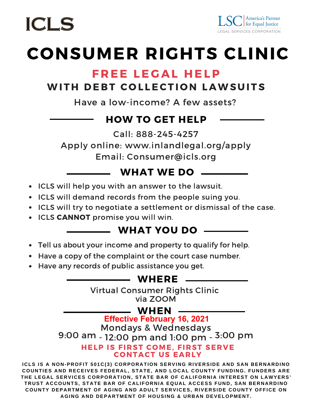

## **CONSUMER RIGHTS CLINIC**

### FREE LEGAL HELP

### WITH DEBT COLLECTION LAWSUITS

Have a low-income? A few assets?

### HOW TO GET HELP

Call: 888-245-4257

Apply online: www.inlandlegal.org/apply Email: Consumer@icls.org

### WHAT WE DO

- ICLS will help you with an answer to the lawsuit.
- ICLS will demand records from the people suing you.
- ICLS will try to negotiate a settlement or dismissal of the case.
- ICLS CANNOT promise you will win.

### WHAT YOU DO

- Tell us about your income and property to qualify for help.
- Have a copy of the complaint or the court case number.
- Have any records of public assistance you get.

### WHERE

Virtual Consumer Rights Clinic via ZOOM

### WHEN

HELP IS FIRST COME. FIRST SERVE Mondays & Wednesdays 9:00 am - 12:00 pm and 1:00 pm - 3:00 pm **Effective February 16, 2021**

### **CONTACT US EARLY**

**ICLS IS A NON-PROFIT 501C(3) CORPORATION SERVING RIVERSIDE AND SAN BERNARDINO** COUNTIES AND RECEIVES FEDERAL, STATE, AND LOCAL COUNTY FUNDING. FUNDERS ARE THE LEGAL SERVICES CORPORATION, STATE BAR OF CALIFORNIA INTEREST ON LAWYERS' TRUST ACCOUNTS, STATE BAR OF CALIFORNIA EQUAL ACCESS FUND, SAN BERNARDINO COUNTY DEPARTMENT OF AGING AND ADULT SERVICES, RIVERSIDE COUNTY OFFICE ON **AGING AND DEPARTMENT OF HOUSING & URBAN DEVELOPMENT.**